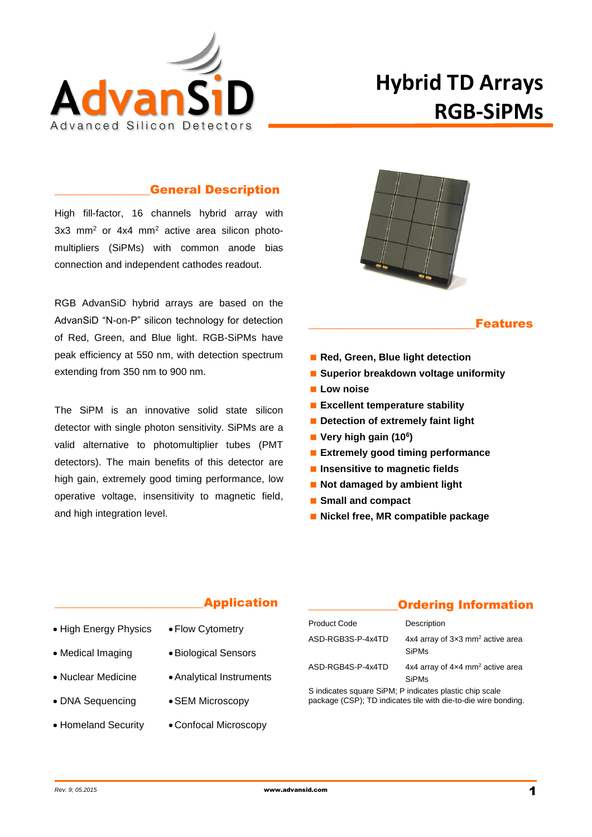

# **Hybrid TD Arrays RGB-SiPMs**

#### \_\_\_\_\_\_\_\_\_\_\_\_\_\_\_\_General Description

High fill-factor, 16 channels hybrid array with 3x3 mm<sup>2</sup> or 4x4 mm<sup>2</sup> active area silicon photomultipliers (SiPMs) with common anode bias connection and independent cathodes readout.

RGB AdvanSiD hybrid arrays are based on the AdvanSiD "N-on-P" silicon technology for detection of Red, Green, and Blue light. RGB-SiPMs have peak efficiency at 550 nm, with detection spectrum extending from 350 nm to 900 nm.

The SiPM is an innovative solid state silicon detector with single photon sensitivity. SiPMs are a valid alternative to photomultiplier tubes (PMT detectors). The main benefits of this detector are high gain, extremely good timing performance, low operative voltage, insensitivity to magnetic field, and high integration level.



#### **Features**

- Red, Green, Blue light detection
- **Superior breakdown voltage uniformity**
- **Low noise**
- **Excellent temperature stability**
- **Detection of extremely faint light**
- **Very high gain (10<sup>6</sup> )**
- **Extremely good timing performance**
- **Insensitive to magnetic fields**
- **Not damaged by ambient light**
- **Small and compact**
- **Nickel free, MR compatible package**

#### **Application**

- High Energy Physics
	- Flow Cytometry Biological Sensors

Analytical Instruments

SEM Microscopy

- Medical Imaging Nuclear Medicine
- DNA Sequencing
- Homeland Security Confocal Microscopy

## \_\_\_\_\_\_\_\_\_\_\_\_\_\_\_Ordering Information

| <b>Product Code</b>                                     | Description                                                         |  |  |
|---------------------------------------------------------|---------------------------------------------------------------------|--|--|
| ASD-RGB3S-P-4x4TD                                       | 4x4 array of $3\times3$ mm <sup>2</sup> active area<br><b>SiPMs</b> |  |  |
| ASD-RGB4S-P-4x4TD                                       | 4x4 array of 4x4 mm <sup>2</sup> active area<br><b>SiPMs</b>        |  |  |
| S indicates square SiPM; P indicates plastic chip scale |                                                                     |  |  |

package (CSP); TD indicates tile with die-to-die wire bonding.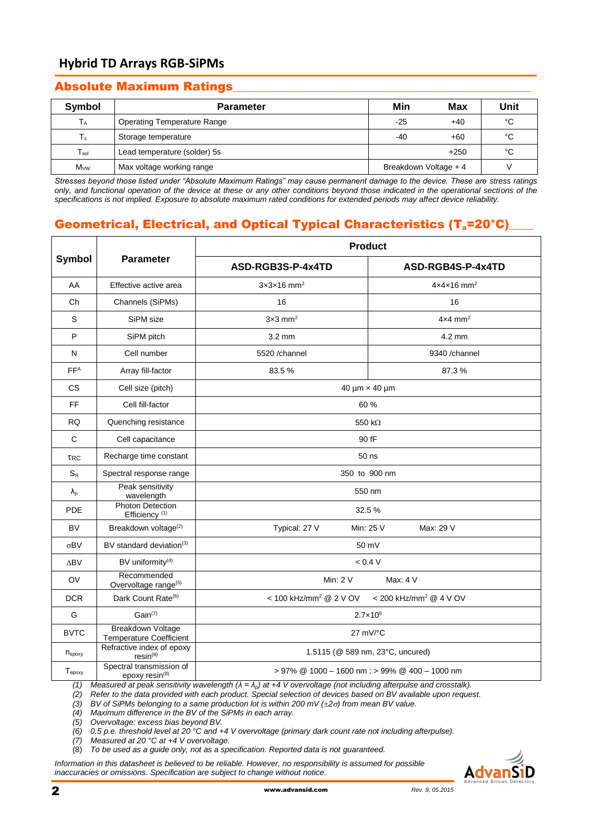## **Hybrid TD Arrays RGB-SiPMs**

### Absolute Maximum Ratings\_\_\_\_\_\_\_\_\_\_\_\_\_\_\_\_\_\_\_\_\_\_\_\_\_\_\_\_\_\_\_\_\_\_\_\_\_\_\_\_\_\_\_\_\_\_\_\_\_\_

| Symbol          | <b>Parameter</b>                   | Min                   | Max    | Unit |
|-----------------|------------------------------------|-----------------------|--------|------|
| $T_A$           | <b>Operating Temperature Range</b> | -25                   | $+40$  | °C   |
| $T_{\rm s}$     | Storage temperature                | -40                   | $+60$  | °C   |
| $T_{sol}$       | Lead temperature (solder) 5s       |                       | $+250$ | °С   |
| $M_{\text{VW}}$ | Max voltage working range          | Breakdown Voltage + 4 |        |      |

*Stresses beyond those listed under "Absolute Maximum Ratings" may cause permanent damage to the device. These are stress ratings only, and functional operation of the device at these or any other conditions beyond those indicated in the operational sections of the specifications is not implied. Exposure to absolute maximum rated conditions for extended periods may affect device reliability.*

# Geometrical, Electrical, and Optical Typical Characteristics (T<sub>a</sub>=20°C)

|                    |                                                      | <b>Product</b>                                                                                                                                                                 |                                      |  |  |
|--------------------|------------------------------------------------------|--------------------------------------------------------------------------------------------------------------------------------------------------------------------------------|--------------------------------------|--|--|
| Symbol             | <b>Parameter</b>                                     | ASD-RGB3S-P-4x4TD                                                                                                                                                              | ASD-RGB4S-P-4x4TD                    |  |  |
| AA                 | Effective active area                                | $3x3x16$ mm <sup>2</sup>                                                                                                                                                       | $4x4x16$ mm <sup>2</sup>             |  |  |
| Ch                 | Channels (SiPMs)                                     | 16                                                                                                                                                                             | 16                                   |  |  |
| S                  | SiPM size                                            | $3\times3$ mm <sup>2</sup>                                                                                                                                                     | $4\times4$ mm <sup>2</sup>           |  |  |
| P                  | SiPM pitch                                           | $3.2 \text{ mm}$                                                                                                                                                               | $4.2 \text{ mm}$                     |  |  |
| N                  | Cell number                                          | 5520 /channel                                                                                                                                                                  | 9340 /channel                        |  |  |
| FF <sup>A</sup>    | Array fill-factor                                    | 83.5%                                                                                                                                                                          | 87.3%                                |  |  |
| <b>CS</b>          | Cell size (pitch)                                    |                                                                                                                                                                                | 40 µm x 40 µm                        |  |  |
| FF                 | Cell fill-factor                                     |                                                                                                                                                                                | 60 %                                 |  |  |
| RQ                 | Quenching resistance                                 |                                                                                                                                                                                | 550 k $\Omega$                       |  |  |
| $\mathsf{C}$       | Cell capacitance                                     | 90 fF                                                                                                                                                                          |                                      |  |  |
| TRC                | Recharge time constant                               | 50 ns                                                                                                                                                                          |                                      |  |  |
| $S_R$              | Spectral response range                              | 350 to 900 nm                                                                                                                                                                  |                                      |  |  |
| $\lambda_{p}$      | Peak sensitivity<br>wavelength                       | 550 nm                                                                                                                                                                         |                                      |  |  |
| <b>PDE</b>         | <b>Photon Detection</b><br>Efficiency <sup>(1)</sup> | 32.5 %                                                                                                                                                                         |                                      |  |  |
| <b>BV</b>          | Breakdown voltage <sup>(2)</sup>                     | Typical: 27 V                                                                                                                                                                  | Min: 25 V<br>Max: 29 V               |  |  |
| $\sigma$ BV        | BV standard deviation <sup>(3)</sup>                 |                                                                                                                                                                                | 50 mV                                |  |  |
| ΔBV                | BV uniformity <sup>(4)</sup>                         |                                                                                                                                                                                | < 0.4 V                              |  |  |
| OV                 | Recommended<br>Overvoltage range <sup>(5)</sup>      | Min: 2 V                                                                                                                                                                       | Max: 4 V                             |  |  |
| <b>DCR</b>         | Dark Count Rate <sup>(6)</sup>                       | < 100 kHz/mm <sup>2</sup> @ 2 V OV                                                                                                                                             | $<$ 200 kHz/mm <sup>2</sup> @ 4 V OV |  |  |
| G                  | $Gain^{(7)}$                                         |                                                                                                                                                                                | $2.7 \times 10^{6}$                  |  |  |
| <b>BVTC</b>        | Breakdown Voltage<br><b>Temperature Coefficient</b>  |                                                                                                                                                                                | 27 mV/°C                             |  |  |
| $n_{\text{epoxy}}$ | Refractive index of epoxy<br>$resin^{(8)}$           | 1.5115 (@ 589 nm, 23°C, uncured)                                                                                                                                               |                                      |  |  |
| $T_{epoxy}$<br>(1) | Spectral transmission of<br>epoxy resin $^{(8)}$     | > 97% @ 1000 - 1600 nm; > 99% @ 400 - 1000 nm<br>Measured at peak sensitivity wavelength $(\lambda = \lambda_p)$ at +4 V overvoltage (not including afterpulse and crosstalk). |                                      |  |  |

*(2) Refer to the data provided with each product. Special selection of devices based on BV available upon request.*

*(3) BV of SiPMs belonging to a same production lot is within 200 mV (±2) from mean BV value.*

*(4) Maximum difference in the BV of the SiPMs in each array.*

*(5) Overvoltage: excess bias beyond BV.*

*(6) 0.5 p.e. threshold level at 20 °C and +4 V overvoltage (primary dark count rate not including afterpulse).*

*(7) Measured at 20 °C at +4 V overvoltage.*

(8) *To be used as a guide only, not as a specification. Reported data is not guaranteed.*

*Information in this datasheet is believed to be reliable. However, no responsibility is assumed for possible inaccuracies or omissions. Specification are subject to change without notice.*

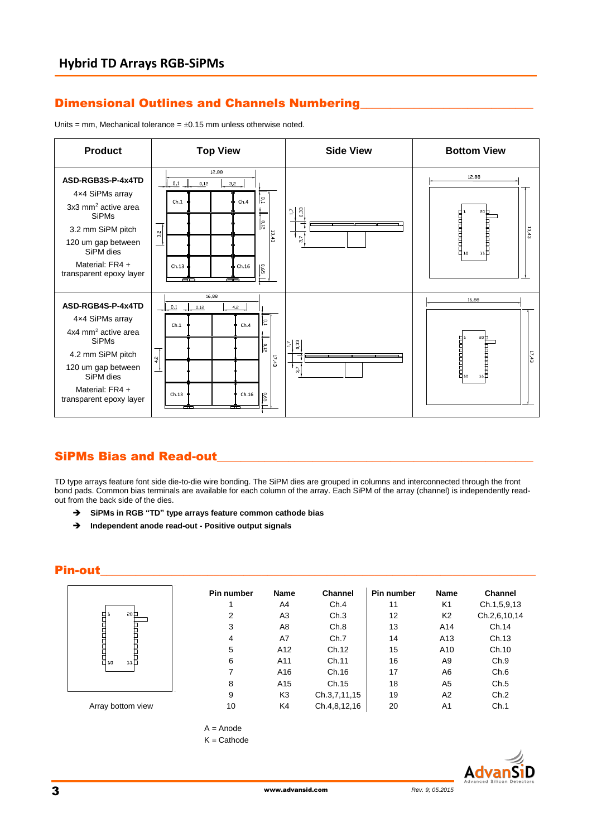## Dimensional Outlines and Channels Numbering

Units = mm, Mechanical tolerance =  $\pm 0.15$  mm unless otherwise noted.



#### SiPMs Bias and Read-out

TD type arrays feature font side die-to-die wire bonding. The SiPM dies are grouped in columns and interconnected through the front bond pads. Common bias terminals are available for each column of the array. Each SiPM of the array (channel) is independently readout from the back side of the dies.

- **SiPMs in RGB "TD" type arrays feature common cathode bias**
- **Independent anode read-out - Positive output signals**

### Pin-out\_\_\_\_\_\_\_\_\_\_\_\_\_\_\_\_\_\_\_\_\_\_\_\_\_\_\_\_\_\_\_\_\_\_\_\_\_\_\_\_\_\_\_\_\_\_\_\_\_\_\_\_\_\_\_\_\_\_\_\_\_\_\_\_\_\_\_\_\_\_\_\_\_

|                   | Pin number | <b>Name</b>     | <b>Channel</b> | Pin number | <b>Name</b>     | <b>Channel</b> |
|-------------------|------------|-----------------|----------------|------------|-----------------|----------------|
|                   |            | A4              | Ch.4           | 11         | K <sub>1</sub>  | Ch.1,5,9,13    |
| 20 <sub>0</sub>   | 2          | A <sub>3</sub>  | Ch.3           | 12         | K <sub>2</sub>  | Ch.2,6,10,14   |
| i<br>Huni<br>H    | 3          | A8              | Ch.8           | 13         | A14             | Ch.14          |
|                   | 4          | A7              | Ch.7           | 14         | A <sub>13</sub> | Ch.13          |
|                   | 5          | A12             | Ch.12          | 15         | A10             | Ch.10          |
| H<br>H.,<br>ыH    | 6          | A11             | Ch.11          | 16         | A <sub>9</sub>  | Ch.9           |
|                   | 7          | A16             | Ch.16          | 17         | A6              | Ch.6           |
|                   | 8          | A <sub>15</sub> | Ch.15          | 18         | A <sub>5</sub>  | Ch.5           |
|                   | 9          | K <sub>3</sub>  | Ch.3,7,11,15   | 19         | A2              | Ch.2           |
| Array bottom view | 10         | K4              | Ch.4,8,12,16   | 20         | A <sub>1</sub>  | Ch.1           |



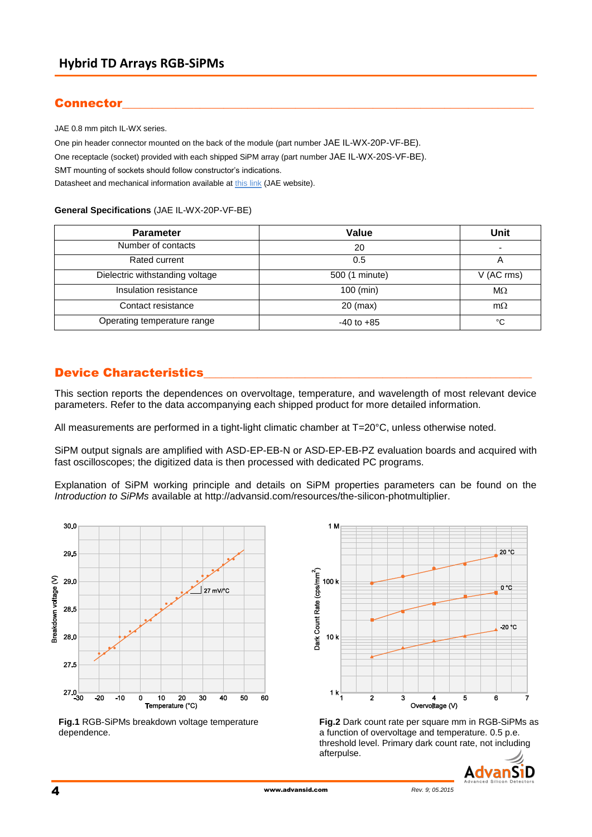# Connector

JAE 0.8 mm pitch IL-WX series.

One pin header connector mounted on the back of the module (part number JAE IL-WX-20P-VF-BE). One receptacle (socket) provided with each shipped SiPM array (part number JAE IL-WX-20S-VF-BE). SMT mounting of sockets should follow constructor's indications. Datasheet and mechanical information available a[t this link](http://jae-connector.com/en/product_en.cfm?l_code=EN&series_code=IL-WX&product_number=IL-WX-16S-VF-BE) (JAE website).

#### **General Specifications** (JAE IL-WX-20P-VF-BE)

| <b>Parameter</b>                | Value          | Unit                     |
|---------------------------------|----------------|--------------------------|
| Number of contacts              | 20             | $\overline{\phantom{0}}$ |
| Rated current                   | 0.5            | A                        |
| Dielectric withstanding voltage | 500 (1 minute) | V (AC rms)               |
| Insulation resistance           | $100$ (min)    | $M\Omega$                |
| Contact resistance              | $20$ (max)     | $m\Omega$                |
| Operating temperature range     | $-40$ to $+85$ | °C                       |

## **Device Characteristics**

This section reports the dependences on overvoltage, temperature, and wavelength of most relevant device parameters. Refer to the data accompanying each shipped product for more detailed information.

All measurements are performed in a tight-light climatic chamber at T=20°C, unless otherwise noted.

SiPM output signals are amplified with ASD-EP-EB-N or ASD-EP-EB-PZ evaluation boards and acquired with fast oscilloscopes; the digitized data is then processed with dedicated PC programs.

Explanation of SiPM working principle and details on SiPM properties parameters can be found on the *[Introduction to SiPMs](http://advansid.com/uploads/up_89_1392130270.pdf)* available at [http://advansid.com/resources/the-silicon-photmultiplier.](http://advansid.com/resources/the-silicon-photmultiplier)



**Fig.1** RGB-SiPMs breakdown voltage temperature dependence.



**Fig.2** Dark count rate per square mm in RGB-SiPMs as a function of overvoltage and temperature. 0.5 p.e. threshold level. Primary dark count rate, not including afterpulse.